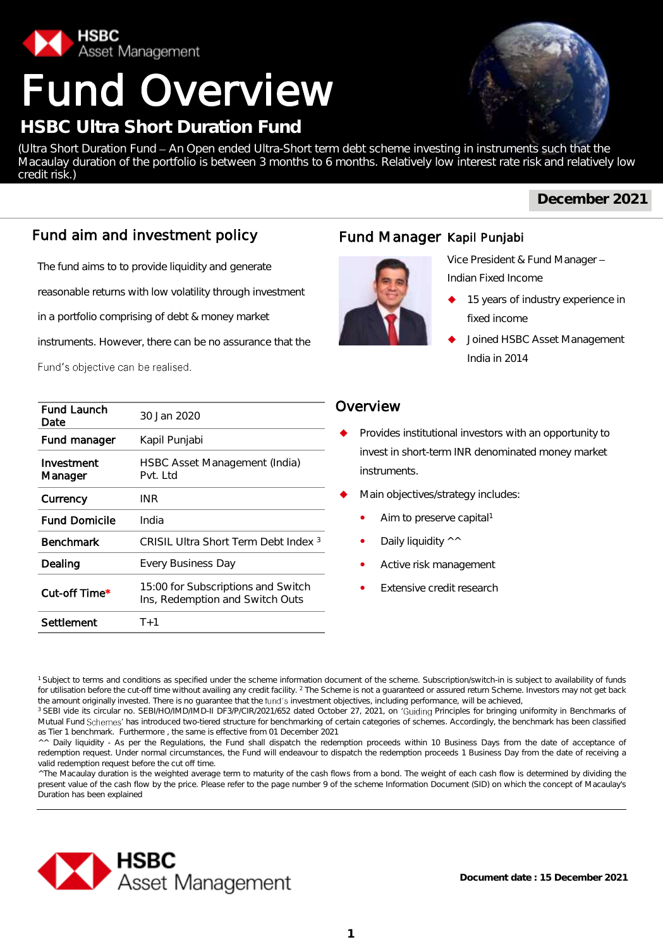

credit risk.)

# Fund Overview

## **HSBC Ultra Short Duration Fund**

(Ultra Short Duration Fund - An Open ended Ultra-Short term debt scheme investing in instruments such that the

**December 2021**

## Fund aim and investment policy

The fund aims to to provide liquidity and generate

reasonable returns with low volatility through investment

in a portfolio comprising of debt & money market

instruments. However, there can be no assurance that the

Fund's objective can be realised.

| <b>Fund Launch</b><br>Date | 30 Jan 2020                                                           |
|----------------------------|-----------------------------------------------------------------------|
| Fund manager               | Kapil Punjabi                                                         |
| Investment<br>Manager      | HSBC Asset Management (India)<br>Pvt. Ltd                             |
| Currency                   | INR                                                                   |
| <b>Fund Domicile</b>       | India                                                                 |
| <b>Benchmark</b>           | CRISIL Ultra Short Term Debt Index 3                                  |
| Dealing                    | <b>Every Business Day</b>                                             |
| Cut-off Time*              | 15:00 for Subscriptions and Switch<br>Ins, Redemption and Switch Outs |
| Settlement                 | $T+1$                                                                 |

## Fund Manager Kapil Punjabi



Macaulay duration of the portfolio is between 3 months to 6 months. Relatively low interest rate risk and relatively low

Vice President & Fund Manager Indian Fixed Income

- 15 years of industry experience in fixed income
- Joined HSBC Asset Management India in 2014

#### **Overview**

- Provides institutional investors with an opportunity to invest in short-term INR denominated money market instruments.
- Main objectives/strategy includes:
	- Aim to preserve capital<sup>1</sup>
	- Daily liquidity ^^
	- Active risk management
	- Extensive credit research

<sup>^</sup>The Macaulay duration is the weighted average term to maturity of the cash flows from a bond. The weight of each cash flow is determined by dividing the present value of the cash flow by the price. Please refer to the page number 9 of the scheme Information Document (SID) on which the concept of Macaulay's Duration has been explained



<sup>&</sup>lt;sup>1</sup> Subject to terms and conditions as specified under the scheme information document of the scheme. Subscription/switch-in is subject to availability of funds for utilisation before the cut-off time without availing any credit facility. <sup>2</sup> The Scheme is not a guaranteed or assured return Scheme. Investors may not get back the amount originally invested. There is no guarantee that the fund's investment objectives, including performance, will be achieved,

<sup>&</sup>lt;sup>3</sup> SEBI vide its circular no. SEBI/HO/IMD/IMD-II DF3/P/CIR/2021/652 dated October 27, 2021, on 'Guiding Principles for bringing uniformity in Benchmarks of Mutual Fund Schemes' has introduced two-tiered structure for benchmarking of certain categories of schemes. Accordingly, the benchmark has been classified as Tier 1 benchmark. Furthermore , the same is effective from 01 December 2021

<sup>^^</sup> Daily liquidity - As per the Regulations, the Fund shall dispatch the redemption proceeds within 10 Business Days from the date of acceptance of redemption request. Under normal circumstances, the Fund will endeavour to dispatch the redemption proceeds 1 Business Day from the date of receiving a valid redemption request before the cut off time.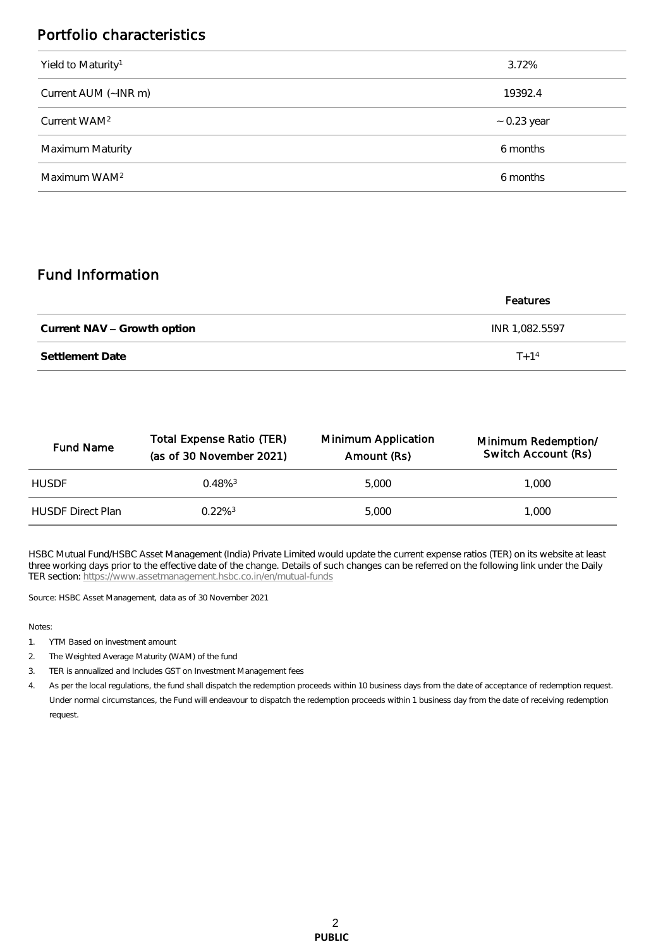## Portfolio characteristics

| Yield to Maturity <sup>1</sup> | 3.72%            |
|--------------------------------|------------------|
| Current AUM (~INR m)           | 19392.4          |
| Current WAM <sup>2</sup>       | $\sim$ 0.23 year |
| Maximum Maturity               | 6 months         |
| Maximum WAM <sup>2</sup>       | 6 months         |

## Fund Information

|                             | Features       |
|-----------------------------|----------------|
| Current NAV - Growth option | INR 1,082.5597 |
| Settlement Date             | $T + 1^4$      |

| <b>Fund Name</b>         | Total Expense Ratio (TER)<br>(as of 30 November 2021) | Minimum Application<br>Amount (Rs) | Minimum Redemption/<br>Switch Account (Rs) |
|--------------------------|-------------------------------------------------------|------------------------------------|--------------------------------------------|
| <b>HUSDE</b>             | $0.48\%$ <sup>3</sup>                                 | 5,000                              | 1.000                                      |
| <b>HUSDE Direct Plan</b> | $0.22\%$ <sup>3</sup>                                 | 5,000                              | 1.000                                      |

HSBC Mutual Fund/HSBC Asset Management (India) Private Limited would update the current expense ratios (TER) on its website at least three working days prior to the effective date of the change. Details of such changes can be referred on the following link under the Daily TER section: <https://www.assetmanagement.hsbc.co.in/en/mutual-funds>

Source: HSBC Asset Management, data as of 30 November 2021

#### Notes:

- 1. YTM Based on investment amount
- 2. The Weighted Average Maturity (WAM) of the fund
- 3. TER is annualized and Includes GST on Investment Management fees

4. As per the local regulations, the fund shall dispatch the redemption proceeds within 10 business days from the date of acceptance of redemption request. Under normal circumstances, the Fund will endeavour to dispatch the redemption proceeds within 1 business day from the date of receiving redemption request.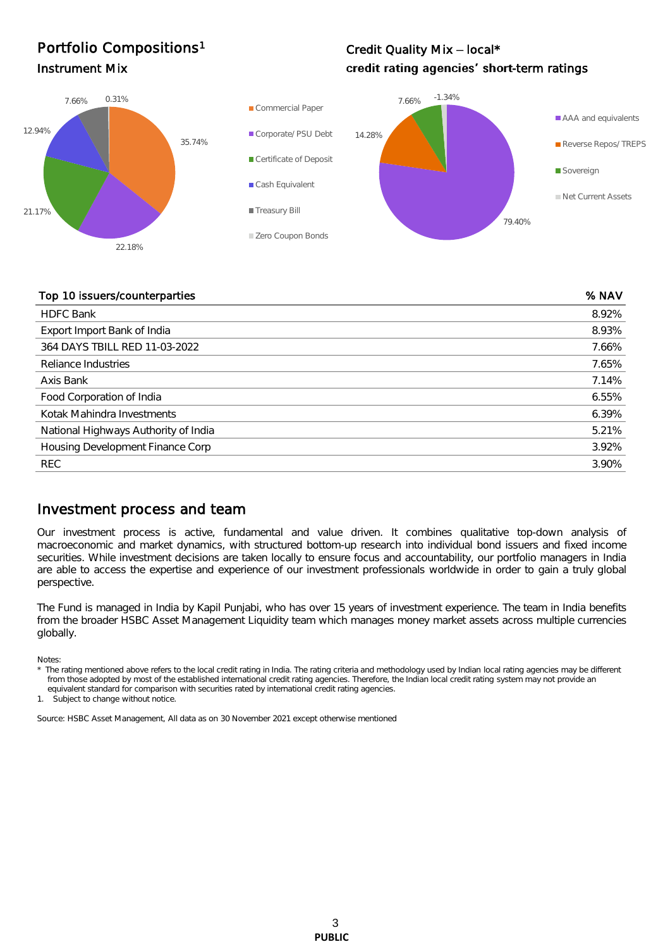## Portfolio Compositions<sup>1</sup>

## Credit Quality Mix - local\* Instrument Mix **Instrument Mix CHO EXECUTE:** The **CHO Credit rating agencies' short-term ratings**



#### Top 10 issuers/counterparties % NAV

| <b>HDFC Bank</b>                     | 8.92% |
|--------------------------------------|-------|
| Export Import Bank of India          | 8.93% |
| 364 DAYS TBILL RED 11-03-2022        | 7.66% |
| Reliance Industries                  | 7.65% |
| Axis Bank                            | 7.14% |
| Food Corporation of India            | 6.55% |
| Kotak Mahindra Investments           | 6.39% |
| National Highways Authority of India | 5.21% |
| Housing Development Finance Corp     | 3.92% |
| <b>REC</b>                           | 3.90% |

#### Investment process and team

Our investment process is active, fundamental and value driven. It combines qualitative top-down analysis of macroeconomic and market dynamics, with structured bottom-up research into individual bond issuers and fixed income securities. While investment decisions are taken locally to ensure focus and accountability, our portfolio managers in India are able to access the expertise and experience of our investment professionals worldwide in order to gain a truly global perspective.

The Fund is managed in India by Kapil Punjabi, who has over 15 years of investment experience. The team in India benefits from the broader HSBC Asset Management Liquidity team which manages money market assets across multiple currencies globally.

Notes:

The rating mentioned above refers to the local credit rating in India. The rating criteria and methodology used by Indian local rating agencies may be different from those adopted by most of the established international credit rating agencies. Therefore, the Indian local credit rating system may not provide an equivalent standard for comparison with securities rated by international credit rating agencies.

1. Subject to change without notice.

Source: HSBC Asset Management, All data as on 30 November 2021 except otherwise mentioned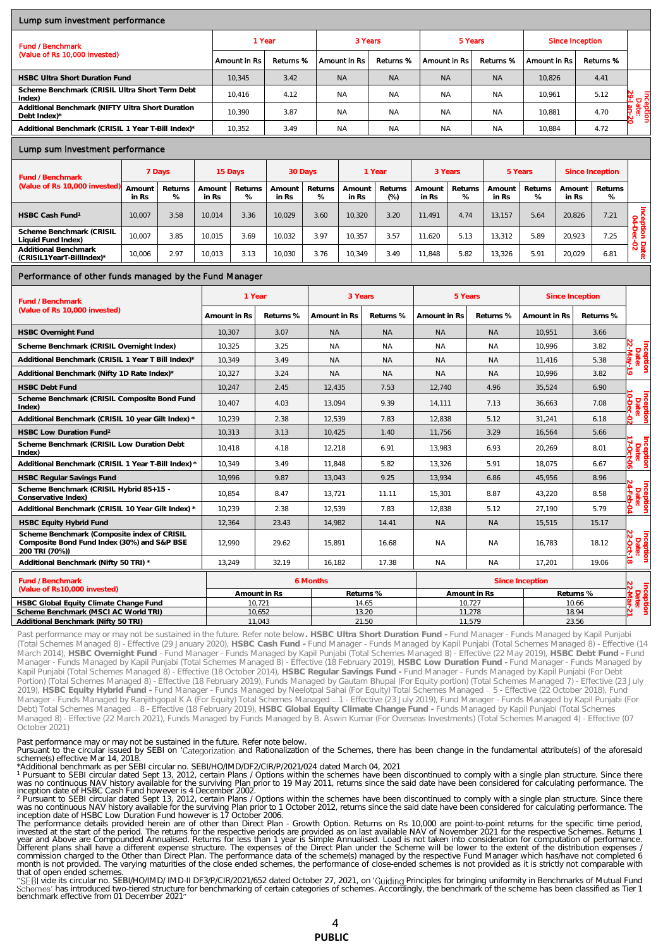#### Lump sum investment performance

| <b>Fund / Benchmark</b>                                          | 1 Year       |           | 3 Years      |           | 5 Years      |           | Since Inception |           |                            |
|------------------------------------------------------------------|--------------|-----------|--------------|-----------|--------------|-----------|-----------------|-----------|----------------------------|
| (Value of Rs 10,000 invested)                                    | Amount in Rs | Returns % | Amount in Rs | Returns % | Amount in Rs | Returns % | Amount in Rs    | Returns % |                            |
| <b>HSBC Ultra Short Duration Fund</b>                            | 10.345       | 3.42      | <b>NA</b>    | <b>NA</b> | <b>NA</b>    | <b>NA</b> | 10.826          | 4.41      |                            |
| Scheme Benchmark (CRISIL Ultra Short Term Debt<br>Index)         | 10.416       | 4.12      | <b>NA</b>    | <b>NA</b> | <b>NA</b>    | <b>NA</b> | 10.961          | 5.12      | Inceptl<br>Date<br>29-Jan- |
| Additional Benchmark (NIFTY Ultra Short Duration<br>Debt Index)* | 10.390       | 3.87      | <b>NA</b>    | <b>NA</b> | <b>NA</b>    | <b>NA</b> | 10.881          | 4.70      |                            |
| Additional Benchmark (CRISIL 1 Year T-Bill Index)*               | 10.352       | 3.49      | <b>NA</b>    | <b>NA</b> | <b>NA</b>    | <b>NA</b> | 10.884          | 4.72      |                            |

#### Lump sum investment performance

| Fund / Benchmark                                  |                 | 7 Days       |                 | 15 Days      |                 | 30 Days      |                 | 1 Year          | 3 Years         |              | 5 Years         |              |                 | Since Inception |                                    |
|---------------------------------------------------|-----------------|--------------|-----------------|--------------|-----------------|--------------|-----------------|-----------------|-----------------|--------------|-----------------|--------------|-----------------|-----------------|------------------------------------|
| (Value of Rs 10,000 invested)                     | Amount<br>in Rs | Returns<br>% | Amount<br>in Rs | Returns<br>% | Amount<br>in Rs | Returns<br>% | Amount<br>in Rs | Returns<br>(% ) | Amount<br>in Rs | Returns<br>% | Amount<br>in Rs | Returns<br>% | Amount<br>in Rs | Returns<br>%    |                                    |
| HSBC Cash Fund <sup>1</sup>                       | 10.007          | 3.58         | 10.014          | 3.36         | 10.029          | 3.60         | 10.320          | 3.20            | 11.491          | 4.74         | 13.157          | 5.64         | 20.826          | 7.21            |                                    |
| Scheme Benchmark (CRISIL<br>Liquid Fund Index)    | 10.007          | 3.85         | 10.015          | 3.69         | 10.032          | 3.97         | 10.357          | 3.57            | 11.620          | 5.13         | 13.312          | 5.89         | 20.923          | 7.25            | ዎ<br>≍                             |
| Additional Benchmark<br>(CRISIL1YearT-BillIndex)* | 10,006          | 2.97         | 10.013          | 3.13         | 10.030          | 3.76         | 10.349          | 3.49            | 11.848          | 5.82         | 13,326          | 5.91         | 20.029          | 6.81            | $\overline{N}$ $\overline{w}$<br>ಕ |

#### Performance of other funds managed by the Fund Manager

| Fund / Benchmark                                                                                             | 1 Year       |              |              | 3 Years   |                 | 5 Years        |              | Since Inception |                                 |
|--------------------------------------------------------------------------------------------------------------|--------------|--------------|--------------|-----------|-----------------|----------------|--------------|-----------------|---------------------------------|
| (Value of Rs 10,000 invested)                                                                                | Amount in Rs | Returns %    | Amount in Rs | Returns % | Amount in Rs    | Returns %      | Amount in Rs | Returns %       |                                 |
| <b>HSBC Overnight Fund</b>                                                                                   | 10.307       | 3.07         | <b>NA</b>    | <b>NA</b> | <b>NA</b>       | N <sub>A</sub> | 10.951       | 3.66            |                                 |
| Scheme Benchmark (CRISIL Overnight Index)                                                                    | 10,325       | 3.25         | <b>NA</b>    | <b>NA</b> | <b>NA</b>       | <b>NA</b>      | 10.996       | 3.82            |                                 |
| Additional Benchmark (CRISIL 1 Year T Bill Index)*                                                           | 10.349       | 3.49         | <b>NA</b>    | <b>NA</b> | <b>NA</b>       | <b>NA</b>      | 11.416       | 5.38            | Inception<br>Date:<br>22-May-19 |
| Additional Benchmark (Nifty 1D Rate Index)*                                                                  | 10,327       | 3.24         | <b>NA</b>    | <b>NA</b> | <b>NA</b>       | <b>NA</b>      | 10.996       | 3.82            | 5                               |
| <b>HSBC Debt Fund</b>                                                                                        | 10.247       | 2.45         | 12.435       | 7.53      | 12.740          | 4.96           | 35.524       | 6.90            |                                 |
| Scheme Benchmark (CRISIL Composite Bond Fund<br>Index)                                                       | 10,407       | 4.03         | 13,094       | 9.39      | 14,111          | 7.13           | 36,663       | 7.08            | Inception<br>Date:              |
| Additional Benchmark (CRISIL 10 year Gilt Index) *                                                           | 10,239       | 2.38         | 12,539       | 7.83      | 12,838          | 5.12           | 31,241       | 6.18            | ė.                              |
| HSBC Low Duration Fund <sup>2</sup>                                                                          | 10.313       | 3.13         | 10.425       | 1.40      | 11.756          | 3.29           | 16,564       | 5.66            |                                 |
| Scheme Benchmark (CRISIL Low Duration Debt<br>Index)                                                         | 10,418       | 4.18         | 12,218       | 6.91      | 13,983          | 6.93           | 20,269       | 8.01            | Inception<br>Date:<br>17-Oct-06 |
| Additional Benchmark (CRISIL 1 Year T-Bill Index) *                                                          | 10.349       | 3.49         | 11.848       | 5.82      | 13,326          | 5.91           | 18.075       | 6.67            |                                 |
| <b>HSBC Regular Savings Fund</b>                                                                             | 10.996       | 9.87         | 13.043       | 9.25      | 13,934          | 6.86           | 45,956       | 8.96            |                                 |
| Scheme Benchmark (CRISIL Hybrid 85+15 -<br>Conservative Index)                                               | 10.854       | 8.47         | 13.721       | 11.11     | 15.301          | 8.87           | 43.220       | 8.58            | Inception<br>Date:<br>24-Feb-04 |
| Additional Benchmark (CRISIL 10 Year Gilt Index) *                                                           | 10.239       | 2.38         | 12.539       | 7.83      | 12.838          | 5.12           | 27.190       | 5.79            |                                 |
| HSBC Equity Hybrid Fund                                                                                      | 12,364       | 23.43        | 14.982       | 14.41     | <b>NA</b>       | <b>NA</b>      | 15,515       | 15.17           |                                 |
| Scheme Benchmark (Composite index of CRISIL<br>Composite Bond Fund Index (30%) and S&P BSE<br>200 TRI (70%)) | 12.990       | 29.62        | 15.891       | 16.68     | <b>NA</b>       | <b>NA</b>      | 16.783       | 18.12           | Inception<br>Date:<br>22-Oct-18 |
| Additional Benchmark (Nifty 50 TRI) *                                                                        | 13,249       | 32.19        | 16.182       | 17.38     | <b>NA</b>       | <b>NA</b>      | 17,201       | 19.06           | S.                              |
| Fund / Benchmark                                                                                             |              |              | 6 Months     |           | Since Inception |                |              |                 |                                 |
| (Value of Rs10,000 invested)                                                                                 |              | Amount in Rs |              | Returns % | Amount in Rs    |                | Returns %    |                 | Inception<br>Date:<br>22-Mar-21 |
| HSBC Global Equity Climate Change Fund                                                                       |              | 10.721       |              | 14.65     |                 | 10.727         |              | 10.66           |                                 |
| Scheme Benchmark (MSCI AC World TRI)                                                                         |              | 10,652       |              | 13.20     |                 | 11,278         |              | 18.94           |                                 |
| Additional Benchmark (Nifty 50 TRI)                                                                          |              | 11,043       |              | 21.50     |                 | 11,579         |              | 23.56           |                                 |

Past performance may or may not be sustained in the future. Refer note below**. HSBC Ultra Short Duration Fund -** Fund Manager - Funds Managed by Kapil Punjabi (Total Schemes Managed 8) - Effective (29 January 2020), **HSBC Cash Fund -** Fund Manager - Funds Managed by Kapil Punjabi (Total Schemes Managed 8) - Effective (14 March 2014), **HSBC Overnight Fund** - Fund Manager - Funds Managed by Kapil Punjabi (Total Schemes Managed 8) - Effective (22 May 2019), **HSBC Debt Fund -** Fund Manager - Funds Managed by Kapil Punjabi (Total Schemes Managed 8) - Effective (18 February 2019), **HSBC Low Duration Fund -** Fund Manager - Funds Managed by Kapil Punjabi (Total Schemes Managed 8) - Effective (18 October 2014), **HSBC Regular Savings Fund -** Fund Manager - Funds Managed by Kapil Punjabi (For Debt Portion) (Total Schemes Managed 8) - Effective (18 February 2019), Funds Managed by Gautam Bhupal (For Equity portion) (Total Schemes Managed 7) - Effective (23 July 2019), **HSBC Equity Hybrid Fund -** Fund Manager - Funds Managed by Neelotpal Sahai (For Equity) Total Schemes Managed 5 - Effective (22 October 2018), Fund Manager - Funds Managed by Ranjithgopal K A (For Equity) Total Schemes Managed 1 - Effective (23 July 2019), Fund Manager - Funds Managed by Kapil Punjabi (For Debt) Total Schemes Managed 8 - Effective (18 February 2019), **HSBC Global Equity Climate Change Fund -** Funds Managed by Kapil Punjabi (Total Schemes Managed 8) - Effective (22 March 2021), Funds Managed by Funds Managed by B. Aswin Kumar (For Overseas Investments) (Total Schemes Managed 4) - Effective (07 October 2021)

Past performance may or may not be sustained in the future. Refer note below.<br>Pursuant to the circular issued by SEBI on 'Categorization and Rationalization of the Schemes, there has been change in the fundamental attribut

scheme(s) effective Mar 14, 2018.<br>\*Additional benchmark as per SEBI circular no. SEBI/HO/IMD/DF2/CIR/P/2021/024 dated March 04, 2021<br>\* Pursuant to SEBI circular dated Sept 13, 2012, certain Plans / Options within the schem

invested at the start of the period. The returns for the respective periods are provided as on last available NAV of November 2021 for the respective Schemes. Returns 1<br>year and Above are Compounded Annualised. Returns for commission charged to the Other than Direct Plan. The performance data of the scheme(s) managed by the respective Fund Manager which has/have not completed 6<br>month is not provided. The varying maturities of the close ended that of open ended schemes.

"SEBI vide its circular no. SEBI/HO/IMD/ IMD-II DF3/P/CIR/2021/652 dated October 27, 2021, on 'Guiding Principles for bringing uniformity in Benchmarks of Mutual Fund<br>Schemes' has introduced two-tiered structure for benchm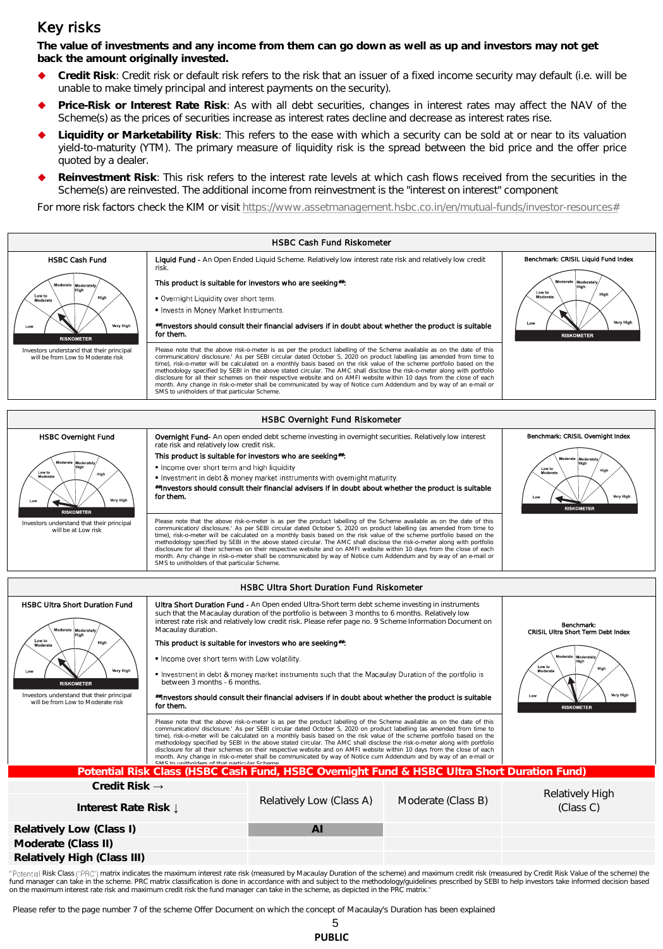### Key risks

**The value of investments and any income from them can go down as well as up and investors may not get back the amount originally invested.** 

- **Credit Risk**: Credit risk or default risk refers to the risk that an issuer of a fixed income security may default (i.e. will be unable to make timely principal and interest payments on the security).
- **Price-Risk or Interest Rate Risk**: As with all debt securities, changes in interest rates may affect the NAV of the Scheme(s) as the prices of securities increase as interest rates decline and decrease as interest rates rise.
- **Liquidity or Marketability Risk**: This refers to the ease with which a security can be sold at or near to its valuation yield-to-maturity (YTM). The primary measure of liquidity risk is the spread between the bid price and the offer price quoted by a dealer.
- **Reinvestment Risk**: This risk refers to the interest rate levels at which cash flows received from the securities in the Scheme(s) are reinvested. The additional income from reinvestment is the "interest on interest" component

For more risk factors check the KIM or visit [https://www.assetmanagement.hsbc.co.in/en/mutual-funds/investor-resources#](https://www.assetmanagement.hsbc.co.in/en/mutual-funds/investor-resources)



"Potential Risk Class ('PRC') matrix indicates the maximum interest rate risk (measured by Macaulay Duration of the scheme) and maximum credit risk (measured by Credit Risk Value of the scheme) the fund manager can take in the scheme. PRC matrix classification is done in accordance with and subject to the methodology/guidelines prescribed by SEBI to help investors take informed decision based<br>on the maximum interest

Please refer to the page number 7 of the scheme Offer Document on which the concept of Macaulay's Duration has been explained

| PUBLIC |  |  |
|--------|--|--|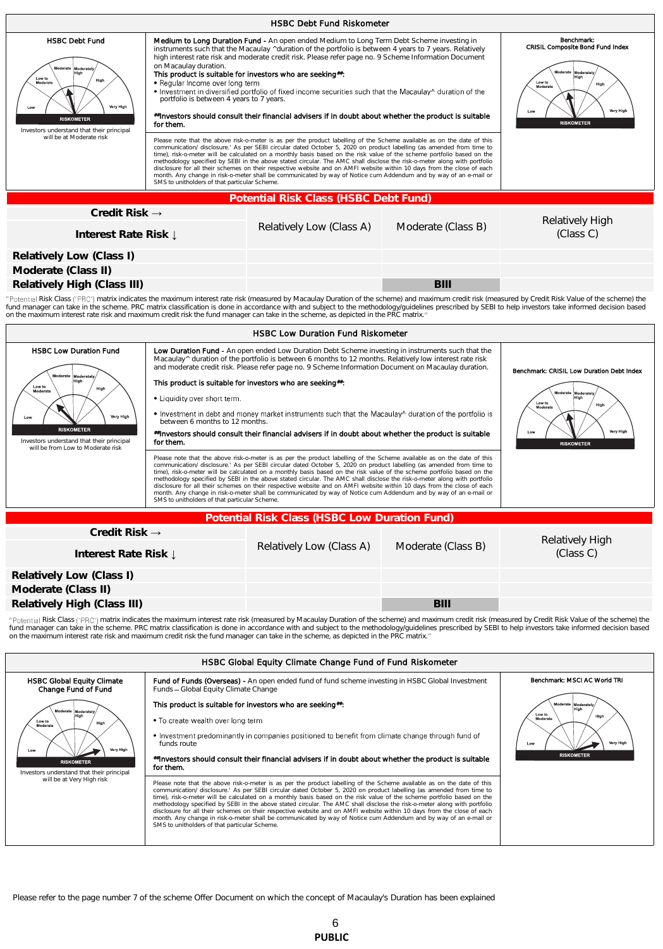| <b>HSBC Debt Fund Riskometer</b>                                                                                                                                                                                                                                                                                                                                                                                                                                                                                                                     |                                                                                                                                                                                                                                                                                                                                                                                                                                                                                                                                                                                                                                                                                                                                                                                                                                                                                                                                                                                                                                                                                                                                                                                                                                                                                                                                                                                                                                                                                                                                                                                                                                                                                         |                                       |                    |                              |  |  |  |
|------------------------------------------------------------------------------------------------------------------------------------------------------------------------------------------------------------------------------------------------------------------------------------------------------------------------------------------------------------------------------------------------------------------------------------------------------------------------------------------------------------------------------------------------------|-----------------------------------------------------------------------------------------------------------------------------------------------------------------------------------------------------------------------------------------------------------------------------------------------------------------------------------------------------------------------------------------------------------------------------------------------------------------------------------------------------------------------------------------------------------------------------------------------------------------------------------------------------------------------------------------------------------------------------------------------------------------------------------------------------------------------------------------------------------------------------------------------------------------------------------------------------------------------------------------------------------------------------------------------------------------------------------------------------------------------------------------------------------------------------------------------------------------------------------------------------------------------------------------------------------------------------------------------------------------------------------------------------------------------------------------------------------------------------------------------------------------------------------------------------------------------------------------------------------------------------------------------------------------------------------------|---------------------------------------|--------------------|------------------------------|--|--|--|
| <b>HSBC Debt Fund</b><br>Moderate<br>Moderatel<br>Low to<br>High<br>Moderate<br>Very High<br>Low<br><b>RISKOMETER</b><br>Investors understand that their principal<br>will be at Moderate risk                                                                                                                                                                                                                                                                                                                                                       | Medium to Long Duration Fund - An open ended Medium to Long Term Debt Scheme investing in<br>Benchmark:<br><b>CRISIL Composite Bond Fund Index</b><br>instruments such that the Macaulay ^duration of the portfolio is between 4 years to 7 years. Relatively<br>high interest rate risk and moderate credit risk. Please refer page no. 9 Scheme Information Document<br>on Macaulay duration.<br>Moderate Moderatel<br>This product is suitable for investors who are seeking#:<br>High<br>• Regular Income over long term<br>Low to<br>High<br>Moderate<br>. Investment in diversified portfolio of fixed income securities such that the Macaulay^ duration of the<br>portfolio is between 4 years to 7 years.<br>Very High<br>Low<br>#Investors should consult their financial advisers if in doubt about whether the product is suitable<br><b>RISKOMETER</b><br>for them.<br>Please note that the above risk-o-meter is as per the product labelling of the Scheme available as on the date of this<br>communication/ disclosure.' As per SEBI circular dated October 5, 2020 on product labelling (as amended from time to<br>time), risk-o-meter will be calculated on a monthly basis based on the risk value of the scheme portfolio based on the<br>methodology specified by SEBI in the above stated circular. The AMC shall disclose the risk-o-meter along with portfolio<br>disclosure for all their schemes on their respective website and on AMFI website within 10 days from the close of each<br>month. Any change in risk-o-meter shall be communicated by way of Notice cum Addendum and by way of an e-mail or<br>SMS to unitholders of that particular Scheme. |                                       |                    |                              |  |  |  |
|                                                                                                                                                                                                                                                                                                                                                                                                                                                                                                                                                      |                                                                                                                                                                                                                                                                                                                                                                                                                                                                                                                                                                                                                                                                                                                                                                                                                                                                                                                                                                                                                                                                                                                                                                                                                                                                                                                                                                                                                                                                                                                                                                                                                                                                                         |                                       |                    |                              |  |  |  |
|                                                                                                                                                                                                                                                                                                                                                                                                                                                                                                                                                      |                                                                                                                                                                                                                                                                                                                                                                                                                                                                                                                                                                                                                                                                                                                                                                                                                                                                                                                                                                                                                                                                                                                                                                                                                                                                                                                                                                                                                                                                                                                                                                                                                                                                                         | Potential Risk Class (HSBC Debt Fund) |                    |                              |  |  |  |
| Credit Risk $\rightarrow$<br>Interest Rate Risk ↓                                                                                                                                                                                                                                                                                                                                                                                                                                                                                                    |                                                                                                                                                                                                                                                                                                                                                                                                                                                                                                                                                                                                                                                                                                                                                                                                                                                                                                                                                                                                                                                                                                                                                                                                                                                                                                                                                                                                                                                                                                                                                                                                                                                                                         | Relatively Low (Class A)              | Moderate (Class B) | Relatively High<br>(Class C) |  |  |  |
| Relatively Low (Class I)                                                                                                                                                                                                                                                                                                                                                                                                                                                                                                                             |                                                                                                                                                                                                                                                                                                                                                                                                                                                                                                                                                                                                                                                                                                                                                                                                                                                                                                                                                                                                                                                                                                                                                                                                                                                                                                                                                                                                                                                                                                                                                                                                                                                                                         |                                       |                    |                              |  |  |  |
| Moderate (Class II)                                                                                                                                                                                                                                                                                                                                                                                                                                                                                                                                  |                                                                                                                                                                                                                                                                                                                                                                                                                                                                                                                                                                                                                                                                                                                                                                                                                                                                                                                                                                                                                                                                                                                                                                                                                                                                                                                                                                                                                                                                                                                                                                                                                                                                                         |                                       |                    |                              |  |  |  |
| Relatively High (Class III)                                                                                                                                                                                                                                                                                                                                                                                                                                                                                                                          |                                                                                                                                                                                                                                                                                                                                                                                                                                                                                                                                                                                                                                                                                                                                                                                                                                                                                                                                                                                                                                                                                                                                                                                                                                                                                                                                                                                                                                                                                                                                                                                                                                                                                         |                                       | <b>BIII</b>        |                              |  |  |  |
| "Potential Risk Class ('PRC') matrix indicates the maximum interest rate risk (measured by Macaulay Duration of the scheme) and maximum credit risk (measured by Credit Risk Value of the scheme) the<br>fund manager can take in the scheme. PRC matrix classification is done in accordance with and subject to the methodology/quidelines prescribed by SEBI to help investors take informed decision based<br>on the maximum interest rate risk and maximum credit risk the fund manager can take in the scheme, as depicted in the PRC matrix." |                                                                                                                                                                                                                                                                                                                                                                                                                                                                                                                                                                                                                                                                                                                                                                                                                                                                                                                                                                                                                                                                                                                                                                                                                                                                                                                                                                                                                                                                                                                                                                                                                                                                                         |                                       |                    |                              |  |  |  |
| <b>HSBC Low Duration Fund Riskometer</b>                                                                                                                                                                                                                                                                                                                                                                                                                                                                                                             |                                                                                                                                                                                                                                                                                                                                                                                                                                                                                                                                                                                                                                                                                                                                                                                                                                                                                                                                                                                                                                                                                                                                                                                                                                                                                                                                                                                                                                                                                                                                                                                                                                                                                         |                                       |                    |                              |  |  |  |
| <b>HSBC Low Duration Fund</b>                                                                                                                                                                                                                                                                                                                                                                                                                                                                                                                        | Benchmark: CRISIL Low Duration Debt Index                                                                                                                                                                                                                                                                                                                                                                                                                                                                                                                                                                                                                                                                                                                                                                                                                                                                                                                                                                                                                                                                                                                                                                                                                                                                                                                                                                                                                                                                                                                                                                                                                                               |                                       |                    |                              |  |  |  |

| Very High<br>Low<br><b>RISKOMETER</b><br>Investors understand that their principal<br>will be from I ow to Moderate risk | • Liquidity over short term.<br>• Investment in debt and money market instruments such that the Macaulay^ duration of the portfolio is<br>between 6 months to 12 months.<br>investors should consult their financial advisers if in doubt about whether the product is suitable<br>for them. | High<br>Low to<br>High<br>Moderate<br>Very High<br>Low<br><b>RISKOMETER</b>                                                                                                                                                                                                                                                                                                                                                                                                                                                                                                                                                                                                                                                                        |                    |                              |
|--------------------------------------------------------------------------------------------------------------------------|----------------------------------------------------------------------------------------------------------------------------------------------------------------------------------------------------------------------------------------------------------------------------------------------|----------------------------------------------------------------------------------------------------------------------------------------------------------------------------------------------------------------------------------------------------------------------------------------------------------------------------------------------------------------------------------------------------------------------------------------------------------------------------------------------------------------------------------------------------------------------------------------------------------------------------------------------------------------------------------------------------------------------------------------------------|--------------------|------------------------------|
|                                                                                                                          | SMS to unitholders of that particular Scheme.                                                                                                                                                                                                                                                | Please note that the above risk-o-meter is as per the product labelling of the Scheme available as on the date of this<br>communication/ disclosure.' As per SEBI circular dated October 5, 2020 on product labelling (as amended from time to<br>time), risk-o-meter will be calculated on a monthly basis based on the risk value of the scheme portfolio based on the<br>methodology specified by SEBI in the above stated circular. The AMC shall disclose the risk-o-meter along with portfolio<br>disclosure for all their schemes on their respective website and on AMFI website within 10 days from the close of each<br>month. Any change in risk-o-meter shall be communicated by way of Notice cum Addendum and by way of an e-mail or |                    |                              |
|                                                                                                                          |                                                                                                                                                                                                                                                                                              | Potential Risk Class (HSBC Low Duration Fund)                                                                                                                                                                                                                                                                                                                                                                                                                                                                                                                                                                                                                                                                                                      |                    |                              |
| Credit Risk $\rightarrow$                                                                                                |                                                                                                                                                                                                                                                                                              |                                                                                                                                                                                                                                                                                                                                                                                                                                                                                                                                                                                                                                                                                                                                                    |                    |                              |
| Interest Rate Risk I                                                                                                     |                                                                                                                                                                                                                                                                                              | Relatively Low (Class A)                                                                                                                                                                                                                                                                                                                                                                                                                                                                                                                                                                                                                                                                                                                           | Moderate (Class B) | Relatively High<br>(Class C) |
| Relatively Low (Class I)                                                                                                 |                                                                                                                                                                                                                                                                                              |                                                                                                                                                                                                                                                                                                                                                                                                                                                                                                                                                                                                                                                                                                                                                    |                    |                              |
| Moderate (Class II)                                                                                                      |                                                                                                                                                                                                                                                                                              |                                                                                                                                                                                                                                                                                                                                                                                                                                                                                                                                                                                                                                                                                                                                                    |                    |                              |
| Relatively High (Class III)                                                                                              |                                                                                                                                                                                                                                                                                              |                                                                                                                                                                                                                                                                                                                                                                                                                                                                                                                                                                                                                                                                                                                                                    | BIII               |                              |

This product is suitable for investors who are seeking#:

Moderate Moderately

"Potential Risk Class ('PRC') matrix indicates the maximum interest rate risk (measured by Macaulay Duration of the scheme) and maximum credit risk (measured by Credit Risk Value of the scheme) the fund manager can take in the scheme. PRC matrix classification is done in accordance with and subject to the methodology/guidelines prescribed by SEBI to help investors take informed decision based<br>on the maximum interest

| HSBC Global Equity Climate Change Fund of Fund Riskometer                                                                                                            |                                                                                                                                                                                                                                                                                                                                                                                                                                                                                                                                                                                                                                                                                                                                                                                                     |                                                                                                    |  |  |  |  |  |
|----------------------------------------------------------------------------------------------------------------------------------------------------------------------|-----------------------------------------------------------------------------------------------------------------------------------------------------------------------------------------------------------------------------------------------------------------------------------------------------------------------------------------------------------------------------------------------------------------------------------------------------------------------------------------------------------------------------------------------------------------------------------------------------------------------------------------------------------------------------------------------------------------------------------------------------------------------------------------------------|----------------------------------------------------------------------------------------------------|--|--|--|--|--|
| <b>HSBC Global Equity Climate</b><br>Change Fund of Fund                                                                                                             | <b>Fund of Funds (Overseas)</b> - An open ended fund of fund scheme investing in HSBC Global Investment<br>Funds - Global Equity Climate Change                                                                                                                                                                                                                                                                                                                                                                                                                                                                                                                                                                                                                                                     | Benchmark: MSCI AC World TRI                                                                       |  |  |  |  |  |
| Moderate Moderately<br>Low to<br>High<br>Moderate<br>Very High<br>Low<br><b>RISKOMETER</b><br>Investors understand that their principal<br>will be at Very High risk | This product is suitable for investors who are seeking.<br>• To create wealth over long term<br>• Investment predominantly in companies positioned to benefit from climate change through fund of<br>funds route<br>linvestors should consult their financial advisers if in doubt about whether the product is suitable<br>for them.                                                                                                                                                                                                                                                                                                                                                                                                                                                               | Moderate Moderately<br>High<br>Low to<br>High<br>Moderate<br>Very High<br>Low<br><b>RISKOMETER</b> |  |  |  |  |  |
|                                                                                                                                                                      | Please note that the above risk-o-meter is as per the product labelling of the Scheme available as on the date of this<br>communication/ disclosure.' As per SEBI circular dated October 5, 2020 on product labelling (as amended from time to<br>time), risk-o-meter will be calculated on a monthly basis based on the risk value of the scheme portfolio based on the<br>methodology specified by SEBI in the above stated circular. The AMC shall disclose the risk-o-meter along with portfolio<br>disclosure for all their schemes on their respective website and on AMFI website within 10 days from the close of each<br>month. Any change in risk-o-meter shall be communicated by way of Notice cum Addendum and by way of an e-mail or<br>SMS to unitholders of that particular Scheme. |                                                                                                    |  |  |  |  |  |

Please refer to the page number 7 of the scheme Offer Document on which the concept of Macaulay's Duration has been explained